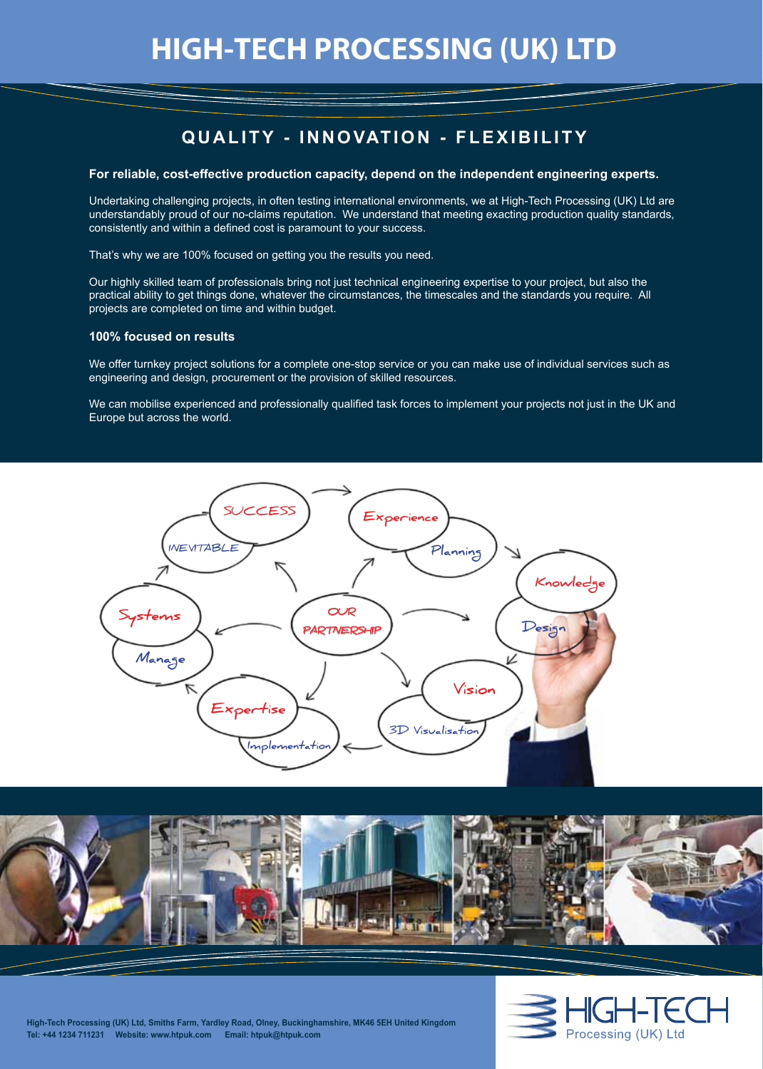# **QUALITY - INNOVATION - FLEXIBILITY**

## **For reliable, cost-effective production capacity, depend on the independent engineering experts.**

Undertaking challenging projects, in often testing international environments, we at High-Tech Processing (UK) Ltd are understandably proud of our no-claims reputation. We understand that meeting exacting production quality standards, consistently and within a defined cost is paramount to your success.

That's why we are 100% focused on getting you the results you need.

Our highly skilled team of professionals bring not just technical engineering expertise to your project, but also the practical ability to get things done, whatever the circumstances, the timescales and the standards you require. All projects are completed on time and within budget.

## **100% focused on results**

We offer turnkey project solutions for a complete one-stop service or you can make use of individual services such as engineering and design, procurement or the provision of skilled resources.

We can mobilise experienced and professionally qualified task forces to implement your projects not just in the UK and Europe but across the world.